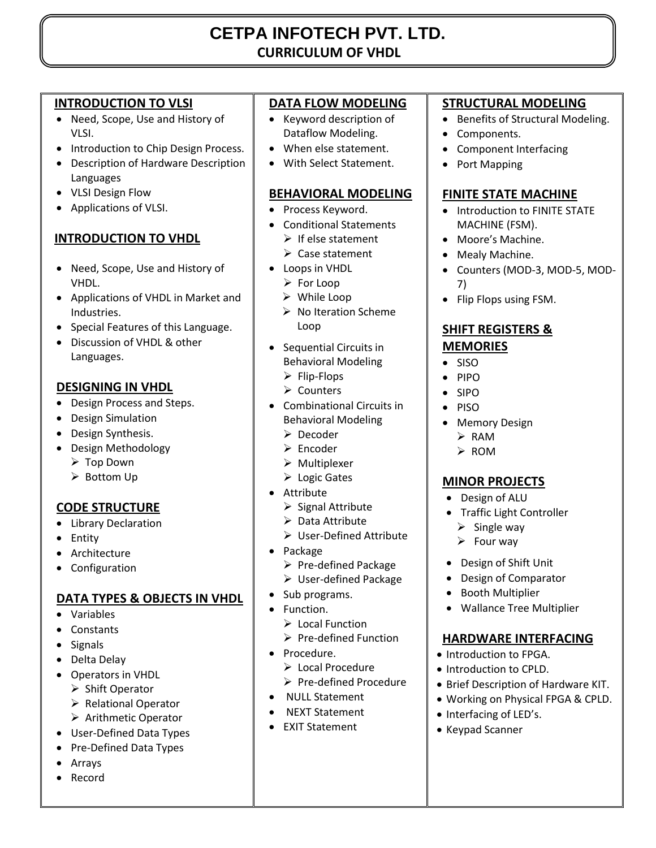# **CETPA INFOTECH PVT. LTD. CURRICULUM OF VHDL**

## **INTRODUCTION TO VLSI**

- Need, Scope, Use and History of VLSI.
- Introduction to Chip Design Process.
- Description of Hardware Description Languages
- VLSI Design Flow
- Applications of VLSI.

## **INTRODUCTION TO VHDL**

- Need, Scope, Use and History of VHDL.
- Applications of VHDL in Market and Industries.
- Special Features of this Language.
- Discussion of VHDL & other Languages.

## **DESIGNING IN VHDL**

- Design Process and Steps.
- Design Simulation
- Design Synthesis.
- Design Methodology
	- Top Down
	- ▶ Bottom Up

## **CODE STRUCTURE**

- Library Declaration
- Entity
- Architecture
- Configuration

## **DATA TYPES & OBJECTS IN VHDL**

- Variables
- Constants
- Signals
- Delta Delay
- Operators in VHDL
	- $\triangleright$  Shift Operator
	- ▶ Relational Operator
	- Arithmetic Operator
- User-Defined Data Types
- Pre-Defined Data Types
- Arrays
- Record

## **DATA FLOW MODELING**

- Keyword description of Dataflow Modeling.
- When else statement.
- With Select Statement.

## **BEHAVIORAL MODELING**

- Process Keyword.
- Conditional Statements
	- $\triangleright$  If else statement
	- $\triangleright$  Case statement
- Loops in VHDL
	- For Loop
	- While Loop
	- $\triangleright$  No Iteration Scheme Loop
- Sequential Circuits in Behavioral Modeling
	- $\triangleright$  Flip-Flops
	- $\triangleright$  Counters
- Combinational Circuits in Behavioral Modeling
	- Decoder
	- $\triangleright$  Encoder
	- $\triangleright$  Multiplexer
	- Logic Gates
- Attribute
	- $\triangleright$  Signal Attribute
	- $\triangleright$  Data Attribute
	- User-Defined Attribute
- Package
	- $\triangleright$  Pre-defined Package
	- User-defined Package
- Sub programs.
- Function.
	- Local Function
	- $\triangleright$  Pre-defined Function
- Procedure.
	- $\triangleright$  Local Procedure
	- $\triangleright$  Pre-defined Procedure
- NULL Statement
- NEXT Statement
- EXIT Statement

## **STRUCTURAL MODELING**

- Benefits of Structural Modeling.
- Components.
- Component Interfacing
- Port Mapping

#### **FINITE STATE MACHINE**

- Introduction to FINITE STATE MACHINE (FSM).
- Moore's Machine.
- Mealy Machine.
- Counters (MOD-3, MOD-5, MOD-7)
- Flip Flops using FSM.

#### **SHIFT REGISTERS & MEMORIES**

- $\bullet$  SISO
- PIPO
- SIPO
- $\bullet$  PISO
- Memory Design
	- $\triangleright$  RAM

# $\triangleright$  ROM

## **MINOR PROJECTS**

- Design of ALU
- Traffic Light Controller
- $\triangleright$  Single way
- $\triangleright$  Four way
- Design of Shift Unit

• Introduction to FPGA. • Introduction to CPLD.

• Interfacing of LED's. Keypad Scanner

 Design of Comparator • Booth Multiplier

Wallance Tree Multiplier

**HARDWARE INTERFACING** 

 Brief Description of Hardware KIT. Working on Physical FPGA & CPLD.